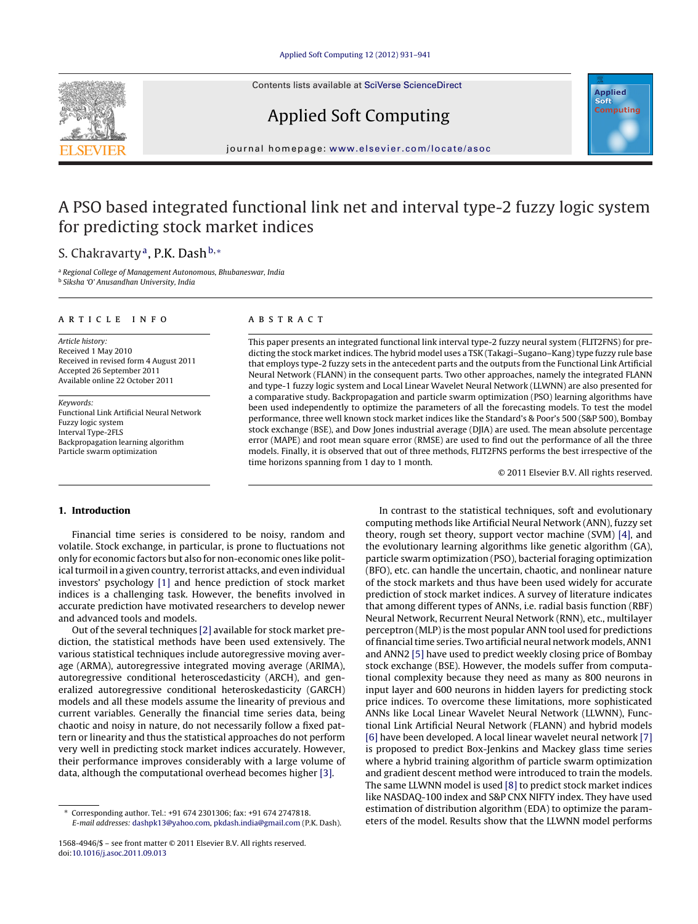Contents lists available at SciVerse [ScienceDirect](http://www.sciencedirect.com/science/journal/15684946)







iournal homepage: <www.elsevier.com/locate/asoc>

# A PSO based integrated functional link net and interval type-2 fuzzy logic system for predicting stock market indices

## S. Chakravarty<sup>a</sup>, P.K. Dash<sup>b,∗</sup>

<sup>a</sup> Regional College of Management Autonomous, Bhubaneswar, India <sup>b</sup> Siksha 'O' Anusandhan University, India

#### ARTICLE INFO

Article history: Received 1 May 2010 Received in revised form 4 August 2011 Accepted 26 September 2011 Available online 22 October 2011

Keywords: Functional Link Artificial Neural Network Fuzzy logic system Interval Type-2FLS Backpropagation learning algorithm Particle swarm optimization

#### A B S T R A C T

This paper presents an integrated functional link interval type-2 fuzzy neural system (FLIT2FNS) for predicting the stock market indices. The hybrid model uses a TSK (Takagi–Sugano–Kang) type fuzzy rule base that employs type-2 fuzzy sets in the antecedent parts and the outputs from the Functional Link Artificial Neural Network (FLANN) in the consequent parts. Two other approaches, namely the integrated FLANN and type-1 fuzzy logic system and Local Linear Wavelet Neural Network (LLWNN) are also presented for a comparative study. Backpropagation and particle swarm optimization (PSO) learning algorithms have been used independently to optimize the parameters of all the forecasting models. To test the model performance, three well known stock market indices like the Standard's & Poor's 500 (S&P 500), Bombay stock exchange (BSE), and Dow Jones industrial average (DJIA) are used. The mean absolute percentage error (MAPE) and root mean square error (RMSE) are used to find out the performance of all the three models. Finally, it is observed that out of three methods, FLIT2FNS performs the best irrespective of the time horizons spanning from 1 day to 1 month.

© 2011 Elsevier B.V. All rights reserved.

## **1. Introduction**

Financial time series is considered to be noisy, random and volatile. Stock exchange, in particular, is prone to fluctuations not only for economic factors but also for non-economic ones like political turmoil in a given country, terrorist attacks, and even individual investors' psychology [\[1\]](#page--1-0) and hence prediction of stock market indices is a challenging task. However, the benefits involved in accurate prediction have motivated researchers to develop newer and advanced tools and models.

Out of the several techniques [\[2\]](#page--1-0) available for stock market prediction, the statistical methods have been used extensively. The various statistical techniques include autoregressive moving average (ARMA), autoregressive integrated moving average (ARIMA), autoregressive conditional heteroscedasticity (ARCH), and generalized autoregressive conditional heteroskedasticity (GARCH) models and all these models assume the linearity of previous and current variables. Generally the financial time series data, being chaotic and noisy in nature, do not necessarily follow a fixed pattern or linearity and thus the statistical approaches do not perform very well in predicting stock market indices accurately. However, their performance improves considerably with a large volume of data, although the computational overhead becomes higher [\[3\].](#page--1-0)

In contrast to the statistical techniques, soft and evolutionary computing methods like Artificial Neural Network (ANN), fuzzy set theory, rough set theory, support vector machine (SVM) [\[4\],](#page--1-0) and the evolutionary learning algorithms like genetic algorithm (GA), particle swarm optimization (PSO), bacterial foraging optimization (BFO), etc. can handle the uncertain, chaotic, and nonlinear nature of the stock markets and thus have been used widely for accurate prediction of stock market indices. A survey of literature indicates that among different types of ANNs, i.e. radial basis function (RBF) Neural Network, Recurrent Neural Network (RNN), etc., multilayer perceptron (MLP) is the most popular ANN tool used for predictions of financial time series. Two artificial neural network models, ANN1 and ANN2 [\[5\]](#page--1-0) have used to predict weekly closing price of Bombay stock exchange (BSE). However, the models suffer from computational complexity because they need as many as 800 neurons in input layer and 600 neurons in hidden layers for predicting stock price indices. To overcome these limitations, more sophisticated ANNs like Local Linear Wavelet Neural Network (LLWNN), Functional Link Artificial Neural Network (FLANN) and hybrid models [\[6\]](#page--1-0) have been developed. A local linear wavelet neural network [\[7\]](#page--1-0) is proposed to predict Box-Jenkins and Mackey glass time series where a hybrid training algorithm of particle swarm optimization and gradient descent method were introduced to train the models. The same LLWNN model is used [\[8\]](#page--1-0) to predict stock market indices like NASDAQ-100 index and S&P CNX NIFTY index. They have used estimation of distribution algorithm (EDA) to optimize the parameters of the model. Results show that the LLWNN model performs

<sup>∗</sup> Corresponding author. Tel.: +91 674 2301306; fax: +91 674 2747818. E-mail addresses: [dashpk13@yahoo.com,](mailto:dashpk13@yahoo.com) [pkdash.india@gmail.com](mailto:pkdash.india@gmail.com) (P.K. Dash).

<sup>1568-4946/\$</sup> – see front matter © 2011 Elsevier B.V. All rights reserved. doi:[10.1016/j.asoc.2011.09.013](dx.doi.org/10.1016/j.asoc.2011.09.013)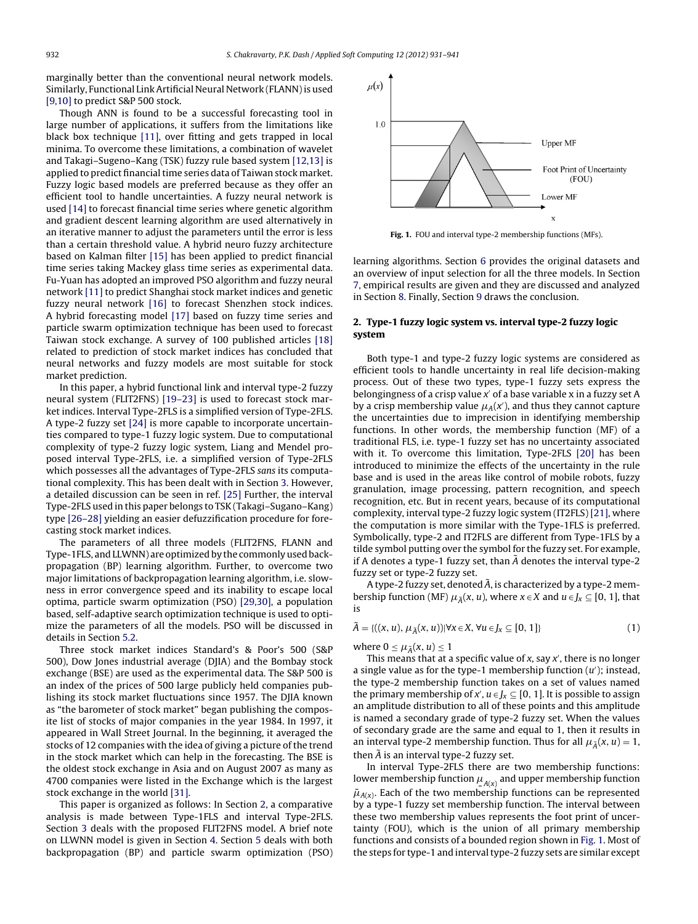marginally better than the conventional neural network models. Similarly, Functional Link Artificial Neural Network (FLANN) is used [\[9,10\]](#page--1-0) to predict S&P 500 stock.

Though ANN is found to be a successful forecasting tool in large number of applications, it suffers from the limitations like black box technique [\[11\],](#page--1-0) over fitting and gets trapped in local minima. To overcome these limitations, a combination of wavelet and Takagi–Sugeno–Kang (TSK) fuzzy rule based system [\[12,13\]](#page--1-0) is applied to predict financial time series data of Taiwan stock market. Fuzzy logic based models are preferred because as they offer an efficient tool to handle uncertainties. A fuzzy neural network is used [\[14\]](#page--1-0) to forecast financial time series where genetic algorithm and gradient descent learning algorithm are used alternatively in an iterative manner to adjust the parameters until the error is less than a certain threshold value. A hybrid neuro fuzzy architecture based on Kalman filter [\[15\]](#page--1-0) has been applied to predict financial time series taking Mackey glass time series as experimental data. Fu-Yuan has adopted an improved PSO algorithm and fuzzy neural network [\[11\]](#page--1-0) to predict Shanghai stock market indices and genetic fuzzy neural network [\[16\]](#page--1-0) to forecast Shenzhen stock indices. A hybrid forecasting model [\[17\]](#page--1-0) based on fuzzy time series and particle swarm optimization technique has been used to forecast Taiwan stock exchange. A survey of 100 published articles [\[18\]](#page--1-0) related to prediction of stock market indices has concluded that neural networks and fuzzy models are most suitable for stock market prediction.

In this paper, a hybrid functional link and interval type-2 fuzzy neural system (FLIT2FNS) [\[19–23\]](#page--1-0) is used to forecast stock market indices. Interval Type-2FLS is a simplified version of Type-2FLS. A type-2 fuzzy set [\[24\]](#page--1-0) is more capable to incorporate uncertainties compared to type-1 fuzzy logic system. Due to computational complexity of type-2 fuzzy logic system, Liang and Mendel proposed interval Type-2FLS, i.e. a simplified version of Type-2FLS which possesses all the advantages of Type-2FLS sans its computational complexity. This has been dealt with in Section [3.](#page--1-0) However, a detailed discussion can be seen in ref. [\[25\]](#page--1-0) Further, the interval Type-2FLS used in this paper belongs to TSK (Takagi–Sugano–Kang) type [\[26–28\]](#page--1-0) yielding an easier defuzzification procedure for forecasting stock market indices.

The parameters of all three models (FLIT2FNS, FLANN and Type-1FLS, and LLWNN) are optimized by the commonly used backpropagation (BP) learning algorithm. Further, to overcome two major limitations of backpropagation learning algorithm, i.e. slowness in error convergence speed and its inability to escape local optima, particle swarm optimization (PSO) [\[29,30\],](#page--1-0) a population based, self-adaptive search optimization technique is used to optimize the parameters of all the models. PSO will be discussed in details in Section [5.2.](#page--1-0)

Three stock market indices Standard's & Poor's 500 (S&P 500), Dow Jones industrial average (DJIA) and the Bombay stock exchange (BSE) are used as the experimental data. The S&P 500 is an index of the prices of 500 large publicly held companies publishing its stock market fluctuations since 1957. The DJIA known as "the barometer of stock market" began publishing the composite list of stocks of major companies in the year 1984. In 1997, it appeared in Wall Street Journal. In the beginning, it averaged the stocks of 12 companies with the idea of giving a picture of the trend in the stock market which can help in the forecasting. The BSE is the oldest stock exchange in Asia and on August 2007 as many as 4700 companies were listed in the Exchange which is the largest stock exchange in the world [\[31\].](#page--1-0)

This paper is organized as follows: In Section 2, a comparative analysis is made between Type-1FLS and interval Type-2FLS. Section [3](#page--1-0) deals with the proposed FLIT2FNS model. A brief note on LLWNN model is given in Section [4.](#page--1-0) Section [5](#page--1-0) deals with both backpropagation (BP) and particle swarm optimization (PSO)



**Fig. 1.** FOU and interval type-2 membership functions (MFs).

learning algorithms. Section [6](#page--1-0) provides the original datasets and an overview of input selection for all the three models. In Section [7,](#page--1-0) empirical results are given and they are discussed and analyzed in Section [8.](#page--1-0) Finally, Section [9](#page--1-0) draws the conclusion.

### **2. Type-1 fuzzy logic system vs. interval type-2 fuzzy logic system**

Both type-1 and type-2 fuzzy logic systems are considered as efficient tools to handle uncertainty in real life decision-making process. Out of these two types, type-1 fuzzy sets express the belongingness of a crisp value  $x'$  of a base variable x in a fuzzy set A by a crisp membership value  $\mu_A(x')$ , and thus they cannot capture the uncertainties due to imprecision in identifying membership functions. In other words, the membership function (MF) of a traditional FLS, i.e. type-1 fuzzy set has no uncertainty associated with it. To overcome this limitation, Type-2FLS [\[20\]](#page--1-0) has been introduced to minimize the effects of the uncertainty in the rule base and is used in the areas like control of mobile robots, fuzzy granulation, image processing, pattern recognition, and speech recognition, etc. But in recent years, because of its computational complexity, interval type-2 fuzzy logic system (IT2FLS) [\[21\],](#page--1-0) where the computation is more similar with the Type-1FLS is preferred. Symbolically, type-2 and IT2FLS are different from Type-1FLS by a tilde symbol putting over the symbol for the fuzzy set. For example, if A denotes a type-1 fuzzy set, than  $\tilde{A}$  denotes the interval type-2 fuzzy set or type-2 fuzzy set.

A type-2 fuzzy set, denoted  $\tilde{A}$ , is characterized by a type-2 membership function (MF)  $\mu_{\tilde{A}}(x, u)$ , where  $x \in X$  and  $u \in J_x \subseteq [0, 1]$ , that is

$$
\tilde{A} = \{((x, u), \mu_{\tilde{A}}(x, u)) | \forall x \in X, \forall u \in J_x \subseteq [0, 1]\}\
$$

where  $0 \leq \mu_{\widetilde{A}}(x,u) \leq 1$ 

This means that at a specific value of  $x$ , say  $x'$ , there is no longer a single value as for the type-1 membership function  $(u')$ ; instead, the type-2 membership function takes on a set of values named the primary membership of  $x'$ ,  $u \in J_x \subseteq [0, 1]$ . It is possible to assign an amplitude distribution to all of these points and this amplitude is named a secondary grade of type-2 fuzzy set. When the values of secondary grade are the same and equal to 1, then it results in an interval type-2 membership function. Thus for all  $\mu_{\tilde{A}}(x,u) = 1$ , then  $\tilde{A}$  is an interval type-2 fuzzy set.

In interval Type-2FLS there are two membership functions: lower membership function  $\mu_{A(x)}$  and upper membership function  $\bar{\mu}_{A(x)}$ . Each of the two membership functions can be represented by a type-1 fuzzy set membership function. The interval between these two membership values represents the foot print of uncertainty (FOU), which is the union of all primary membership functions and consists of a bounded region shown in Fig. 1. Most of the steps for type-1 and interval type-2 fuzzy sets are similar except